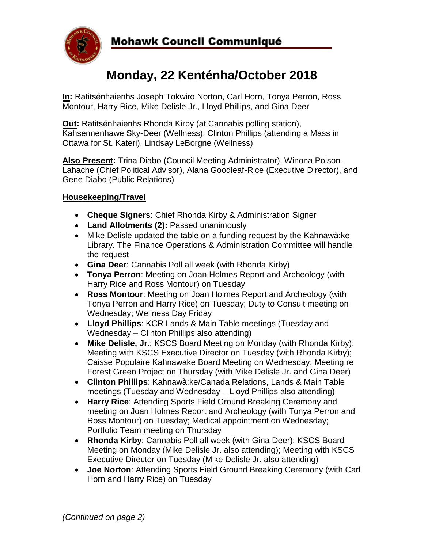

# **Monday, 22 Kenténha/October 2018**

**In:** Ratitsénhaienhs Joseph Tokwiro Norton, Carl Horn, Tonya Perron, Ross Montour, Harry Rice, Mike Delisle Jr., Lloyd Phillips, and Gina Deer

**Out:** Ratitsénhaienhs Rhonda Kirby (at Cannabis polling station), Kahsennenhawe Sky-Deer (Wellness), Clinton Phillips (attending a Mass in Ottawa for St. Kateri), Lindsay LeBorgne (Wellness)

**Also Present:** Trina Diabo (Council Meeting Administrator), Winona Polson-Lahache (Chief Political Advisor), Alana Goodleaf-Rice (Executive Director), and Gene Diabo (Public Relations)

## **Housekeeping/Travel**

- **Cheque Signers**: Chief Rhonda Kirby & Administration Signer
- **Land Allotments (2):** Passed unanimously
- Mike Delisle updated the table on a funding request by the Kahnawà:ke Library. The Finance Operations & Administration Committee will handle the request
- **Gina Deer**: Cannabis Poll all week (with Rhonda Kirby)
- **Tonya Perron**: Meeting on Joan Holmes Report and Archeology (with Harry Rice and Ross Montour) on Tuesday
- **Ross Montour**: Meeting on Joan Holmes Report and Archeology (with Tonya Perron and Harry Rice) on Tuesday; Duty to Consult meeting on Wednesday; Wellness Day Friday
- **Lloyd Phillips**: KCR Lands & Main Table meetings (Tuesday and Wednesday – Clinton Phillips also attending)
- **Mike Delisle, Jr.**: KSCS Board Meeting on Monday (with Rhonda Kirby); Meeting with KSCS Executive Director on Tuesday (with Rhonda Kirby); Caisse Populaire Kahnawake Board Meeting on Wednesday; Meeting re Forest Green Project on Thursday (with Mike Delisle Jr. and Gina Deer)
- **Clinton Phillips**: Kahnawà:ke/Canada Relations, Lands & Main Table meetings (Tuesday and Wednesday – Lloyd Phillips also attending)
- **Harry Rice**: Attending Sports Field Ground Breaking Ceremony and meeting on Joan Holmes Report and Archeology (with Tonya Perron and Ross Montour) on Tuesday; Medical appointment on Wednesday; Portfolio Team meeting on Thursday
- **Rhonda Kirby**: Cannabis Poll all week (with Gina Deer); KSCS Board Meeting on Monday (Mike Delisle Jr. also attending); Meeting with KSCS Executive Director on Tuesday (Mike Delisle Jr. also attending)
- **Joe Norton**: Attending Sports Field Ground Breaking Ceremony (with Carl Horn and Harry Rice) on Tuesday